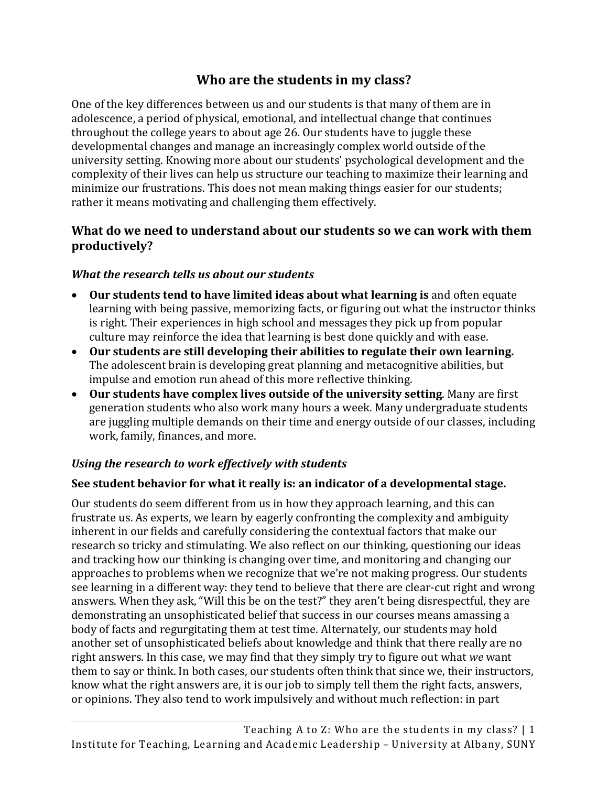# **[Who are the students in my class?](http://itlal.org/index.php?q=node/37)**

One of the key differences between us and our students is that many of them are in adolescence, a period of physical, emotional, and intellectual change that continues throughout the college years to about age 26. Our students have to juggle these developmental changes and manage an increasingly complex world outside of the university setting. Knowing more about our students' psychological development and the complexity of their lives can help us structure our teaching to maximize their learning and minimize our frustrations. This does not mean making things easier for our students; rather it means motivating and challenging them effectively.

## **What do we need to understand about our students so we can work with them productively?**

#### *What the research tells us about our students*

- **Our students tend to have limited ideas about what learning is** and often equate learning with being passive, memorizing facts, or figuring out what the instructor thinks is right. Their experiences in high school and messages they pick up from popular culture may reinforce the idea that learning is best done quickly and with ease.
- **Our students are still developing their abilities to regulate their own learning.**  The adolescent brain is developing great planning and metacognitive abilities, but impulse and emotion run ahead of this more reflective thinking.
- **Our students have complex lives outside of the university setting**. Many are first generation students who also work many hours a week. Many undergraduate students are juggling multiple demands on their time and energy outside of our classes, including work, family, finances, and more.

## *Using the research to work effectively with students*

## **See student behavior for what it really is: an indicator of a developmental stage.**

Our students do seem different from us in how they approach learning, and this can frustrate us. As experts, we learn by eagerly confronting the complexity and ambiguity inherent in our fields and carefully considering the contextual factors that make our research so tricky and stimulating. We also reflect on our thinking, questioning our ideas and tracking how our thinking is changing over time, and monitoring and changing our approaches to problems when we recognize that we're not making progress. Our students see learning in a different way: they tend to believe that there are clear-cut right and wrong answers. When they ask, "Will this be on the test?" they aren't being disrespectful, they are demonstrating an unsophisticated belief that success in our courses means amassing a body of facts and regurgitating them at test time. Alternately, our students may hold another set of unsophisticated beliefs about knowledge and think that there really are no right answers. In this case, we may find that they simply try to figure out what *we* want them to say or think. In both cases, our students often think that since we, their instructors, know what the right answers are, it is our job to simply tell them the right facts, answers, or opinions. They also tend to work impulsively and without much reflection: in part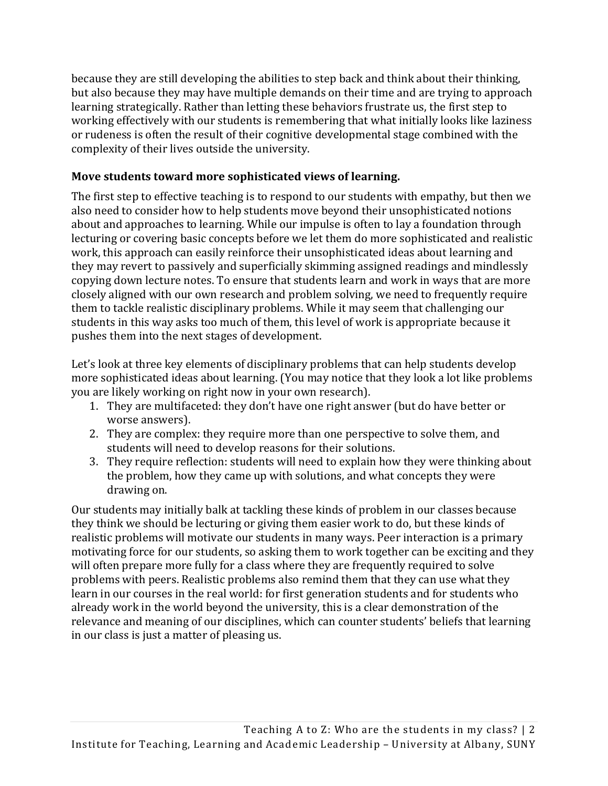because they are still developing the abilities to step back and think about their thinking, but also because they may have multiple demands on their time and are trying to approach learning strategically. Rather than letting these behaviors frustrate us, the first step to working effectively with our students is remembering that what initially looks like laziness or rudeness is often the result of their cognitive developmental stage combined with the complexity of their lives outside the university.

#### **Move students toward more sophisticated views of learning.**

The first step to effective teaching is to respond to our students with empathy, but then we also need to consider how to help students move beyond their unsophisticated notions about and approaches to learning. While our impulse is often to lay a foundation through lecturing or covering basic concepts before we let them do more sophisticated and realistic work, this approach can easily reinforce their unsophisticated ideas about learning and they may revert to passively and superficially skimming assigned readings and mindlessly copying down lecture notes. To ensure that students learn and work in ways that are more closely aligned with our own research and problem solving, we need to frequently require them to tackle realistic disciplinary problems. While it may seem that challenging our students in this way asks too much of them, this level of work is appropriate because it pushes them into the next stages of development.

Let's look at three key elements of disciplinary problems that can help students develop more sophisticated ideas about learning. (You may notice that they look a lot like problems you are likely working on right now in your own research).

- 1. They are multifaceted: they don't have one right answer (but do have better or worse answers).
- 2. They are complex: they require more than one perspective to solve them, and students will need to develop reasons for their solutions.
- 3. They require reflection: students will need to explain how they were thinking about the problem, how they came up with solutions, and what concepts they were drawing on.

Our students may initially balk at tackling these kinds of problem in our classes because they think we should be lecturing or giving them easier work to do, but these kinds of realistic problems will motivate our students in many ways. Peer interaction is a primary motivating force for our students, so asking them to work together can be exciting and they will often prepare more fully for a class where they are frequently required to solve problems with peers. Realistic problems also remind them that they can use what they learn in our courses in the real world: for first generation students and for students who already work in the world beyond the university, this is a clear demonstration of the relevance and meaning of our disciplines, which can counter students' beliefs that learning in our class is just a matter of pleasing us.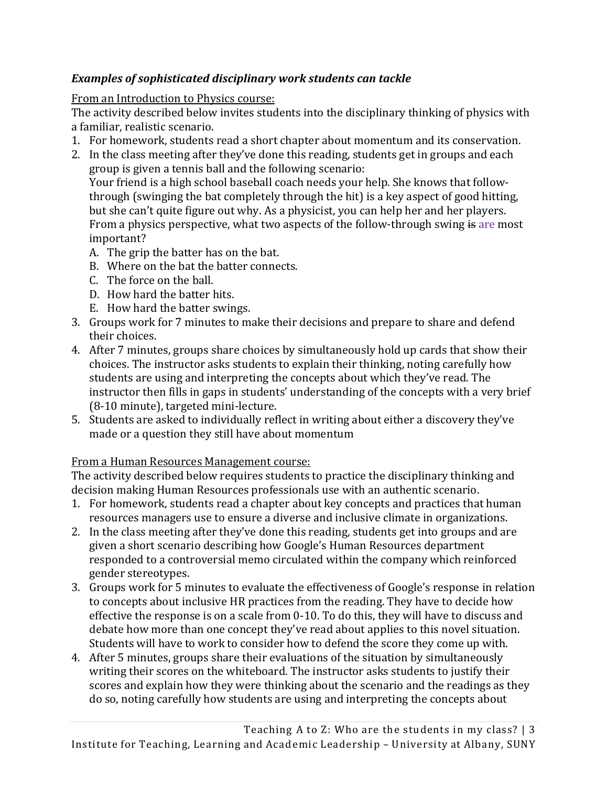## *Examples of sophisticated disciplinary work students can tackle*

## From an Introduction to Physics course:

The activity described below invites students into the disciplinary thinking of physics with a familiar, realistic scenario.

- 1. For homework, students read a short chapter about momentum and its conservation.
- 2. In the class meeting after they've done this reading, students get in groups and each group is given a tennis ball and the following scenario: Your friend is a high school baseball coach needs your help. She knows that followthrough (swinging the bat completely through the hit) is a key aspect of good hitting, but she can't quite figure out why. As a physicist, you can help her and her players. From a physics perspective, what two aspects of the follow-through swing is are most important?
	- A. The grip the batter has on the bat.
	- B. Where on the bat the batter connects.
	- C. The force on the ball.
	- D. How hard the batter hits.
	- E. How hard the batter swings.
- 3. Groups work for 7 minutes to make their decisions and prepare to share and defend their choices.
- 4. After 7 minutes, groups share choices by simultaneously hold up cards that show their choices. The instructor asks students to explain their thinking, noting carefully how students are using and interpreting the concepts about which they've read. The instructor then fills in gaps in students' understanding of the concepts with a very brief (8-10 minute), targeted mini-lecture.
- 5. Students are asked to individually reflect in writing about either a discovery they've made or a question they still have about momentum

## From a Human Resources Management course:

The activity described below requires students to practice the disciplinary thinking and decision making Human Resources professionals use with an authentic scenario.

- 1. For homework, students read a chapter about key concepts and practices that human resources managers use to ensure a diverse and inclusive climate in organizations.
- 2. In the class meeting after they've done this reading, students get into groups and are given a short scenario describing how Google's Human Resources department responded to a controversial memo circulated within the company which reinforced gender stereotypes.
- 3. Groups work for 5 minutes to evaluate the effectiveness of Google's response in relation to concepts about inclusive HR practices from the reading. They have to decide how effective the response is on a scale from 0-10. To do this, they will have to discuss and debate how more than one concept they've read about applies to this novel situation. Students will have to work to consider how to defend the score they come up with.
- 4. After 5 minutes, groups share their evaluations of the situation by simultaneously writing their scores on the whiteboard. The instructor asks students to justify their scores and explain how they were thinking about the scenario and the readings as they do so, noting carefully how students are using and interpreting the concepts about